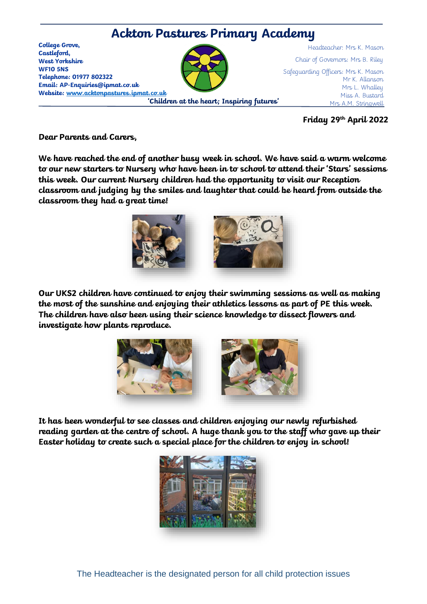

**Friday 29th April 2022**

**Dear Parents and Carers,** 

**We have reached the end of another busy week in school. We have said a warm welcome to our new starters to Nursery who have been in to school to attend their 'Stars' sessions this week. Our current Nursery children had the opportunity to visit our Reception classroom and judging by the smiles and laughter that could be heard from outside the classroom they had a great time!**



**Our UKS2 children have continued to enjoy their swimming sessions as well as making the most of the sunshine and enjoying their athletics lessons as part of PE this week. The children have also been using their science knowledge to dissect flowers and investigate how plants reproduce.** 



**It has been wonderful to see classes and children enjoying our newly refurbished reading garden at the centre of school. A huge thank you to the staff who gave up their Easter holiday to create such a special place for the children to enjoy in school!**



The Headteacher is the designated person for all child protection issues